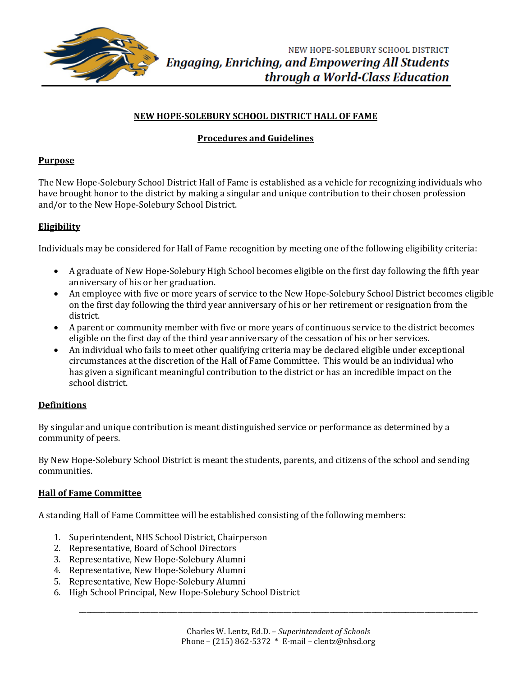

# **NEW HOPE-SOLEBURY SCHOOL DISTRICT HALL OF FAME**

# **Procedures and Guidelines**

## **Purpose**

The New Hope-Solebury School District Hall of Fame is established as a vehicle for recognizing individuals who have brought honor to the district by making a singular and unique contribution to their chosen profession and/or to the New Hope-Solebury School District.

# **Eligibility**

Individuals may be considered for Hall of Fame recognition by meeting one of the following eligibility criteria:

- A graduate of New Hope-Solebury High School becomes eligible on the first day following the fifth year anniversary of his or her graduation.
- An employee with five or more years of service to the New Hope-Solebury School District becomes eligible on the first day following the third year anniversary of his or her retirement or resignation from the district.
- A parent or community member with five or more years of continuous service to the district becomes eligible on the first day of the third year anniversary of the cessation of his or her services.
- An individual who fails to meet other qualifying criteria may be declared eligible under exceptional circumstances at the discretion of the Hall of Fame Committee. This would be an individual who has given a significant meaningful contribution to the district or has an incredible impact on the school district.

## **Definitions**

By singular and unique contribution is meant distinguished service or performance as determined by a community of peers.

By New Hope-Solebury School District is meant the students, parents, and citizens of the school and sending communities.

## **Hall of Fame Committee**

A standing Hall of Fame Committee will be established consisting of the following members:

- 1. Superintendent, NHS School District, Chairperson
- 2. Representative, Board of School Directors
- 3. Representative, New Hope-Solebury Alumni
- 4. Representative, New Hope-Solebury Alumni
- 5. Representative, New Hope-Solebury Alumni
- 6. High School Principal, New Hope-Solebury School District

\_\_\_\_\_\_\_\_\_\_\_\_\_\_\_\_\_\_\_\_\_\_\_\_\_\_\_\_\_\_\_\_\_\_\_\_\_\_\_\_\_\_\_\_\_\_\_\_\_\_\_\_\_\_\_\_\_\_\_\_\_\_\_\_\_\_\_\_\_\_\_\_\_\_\_\_\_\_\_\_\_\_\_\_\_\_\_\_\_\_\_\_\_\_\_\_\_\_\_\_\_\_\_\_\_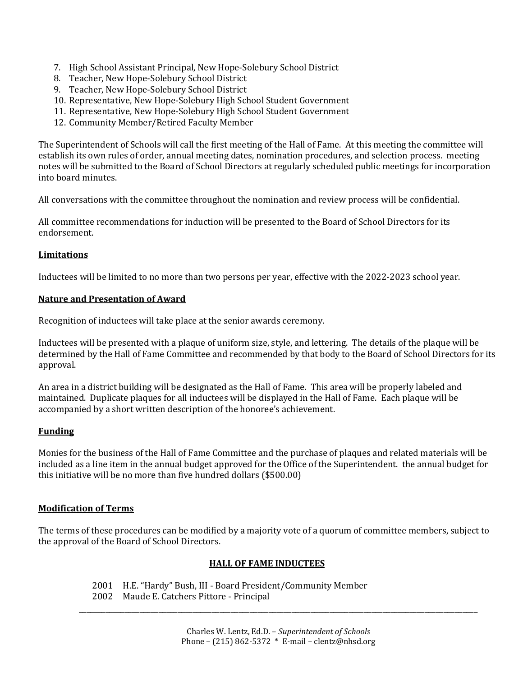- 7. High School Assistant Principal, New Hope-Solebury School District
- 8. Teacher, New Hope-Solebury School District
- 9. Teacher, New Hope-Solebury School District
- 10. Representative, New Hope-Solebury High School Student Government
- 11. Representative, New Hope-Solebury High School Student Government
- 12. Community Member/Retired Faculty Member

The Superintendent of Schools will call the first meeting of the Hall of Fame. At this meeting the committee will establish its own rules of order, annual meeting dates, nomination procedures, and selection process. meeting notes will be submitted to the Board of School Directors at regularly scheduled public meetings for incorporation into board minutes.

All conversations with the committee throughout the nomination and review process will be confidential.

All committee recommendations for induction will be presented to the Board of School Directors for its endorsement.

## **Limitations**

Inductees will be limited to no more than two persons per year, effective with the 2022-2023 school year.

## **Nature and Presentation of Award**

Recognition of inductees will take place at the senior awards ceremony.

Inductees will be presented with a plaque of uniform size, style, and lettering. The details of the plaque will be determined by the Hall of Fame Committee and recommended by that body to the Board of School Directors for its approval.

An area in a district building will be designated as the Hall of Fame. This area will be properly labeled and maintained. Duplicate plaques for all inductees will be displayed in the Hall of Fame. Each plaque will be accompanied by a short written description of the honoree's achievement.

### **Funding**

Monies for the business of the Hall of Fame Committee and the purchase of plaques and related materials will be included as a line item in the annual budget approved for the Office of the Superintendent. the annual budget for this initiative will be no more than five hundred dollars (\$500.00)

### **Modification of Terms**

The terms of these procedures can be modified by a majority vote of a quorum of committee members, subject to the approval of the Board of School Directors.

### **HALL OF FAME INDUCTEES**

2001 H.E. "Hardy" Bush, III - Board President/Community Member 2002 Maude E. Catchers Pittore - Principal

\_\_\_\_\_\_\_\_\_\_\_\_\_\_\_\_\_\_\_\_\_\_\_\_\_\_\_\_\_\_\_\_\_\_\_\_\_\_\_\_\_\_\_\_\_\_\_\_\_\_\_\_\_\_\_\_\_\_\_\_\_\_\_\_\_\_\_\_\_\_\_\_\_\_\_\_\_\_\_\_\_\_\_\_\_\_\_\_\_\_\_\_\_\_\_\_\_\_\_\_\_\_\_\_\_